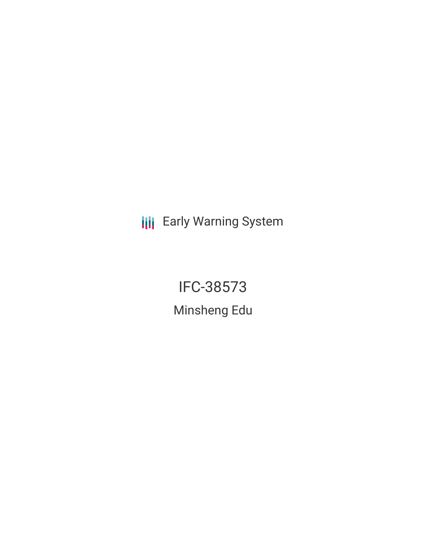**III** Early Warning System

IFC-38573 Minsheng Edu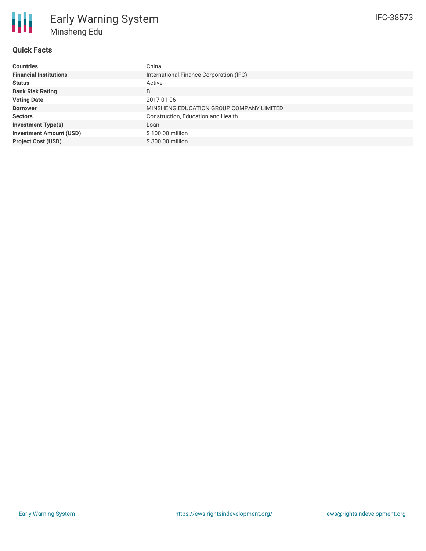

## **Quick Facts**

| <b>Countries</b>               | China                                    |
|--------------------------------|------------------------------------------|
| <b>Financial Institutions</b>  | International Finance Corporation (IFC)  |
| <b>Status</b>                  | Active                                   |
| <b>Bank Risk Rating</b>        | B                                        |
| <b>Voting Date</b>             | 2017-01-06                               |
| <b>Borrower</b>                | MINSHENG EDUCATION GROUP COMPANY LIMITED |
| <b>Sectors</b>                 | Construction, Education and Health       |
| <b>Investment Type(s)</b>      | Loan                                     |
| <b>Investment Amount (USD)</b> | \$100.00 million                         |
| <b>Project Cost (USD)</b>      | \$300,00 million                         |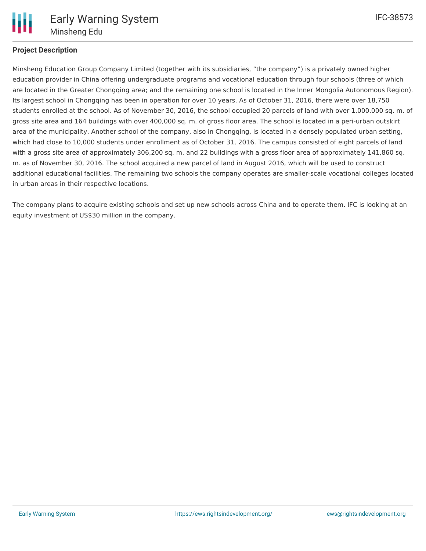

# **Project Description**

Minsheng Education Group Company Limited (together with its subsidiaries, "the company") is a privately owned higher education provider in China offering undergraduate programs and vocational education through four schools (three of which are located in the Greater Chongqing area; and the remaining one school is located in the Inner Mongolia Autonomous Region). Its largest school in Chongqing has been in operation for over 10 years. As of October 31, 2016, there were over 18,750 students enrolled at the school. As of November 30, 2016, the school occupied 20 parcels of land with over 1,000,000 sq. m. of gross site area and 164 buildings with over 400,000 sq. m. of gross floor area. The school is located in a peri-urban outskirt area of the municipality. Another school of the company, also in Chongqing, is located in a densely populated urban setting, which had close to 10,000 students under enrollment as of October 31, 2016. The campus consisted of eight parcels of land with a gross site area of approximately 306,200 sq. m. and 22 buildings with a gross floor area of approximately 141,860 sq. m. as of November 30, 2016. The school acquired a new parcel of land in August 2016, which will be used to construct additional educational facilities. The remaining two schools the company operates are smaller-scale vocational colleges located in urban areas in their respective locations.

The company plans to acquire existing schools and set up new schools across China and to operate them. IFC is looking at an equity investment of US\$30 million in the company.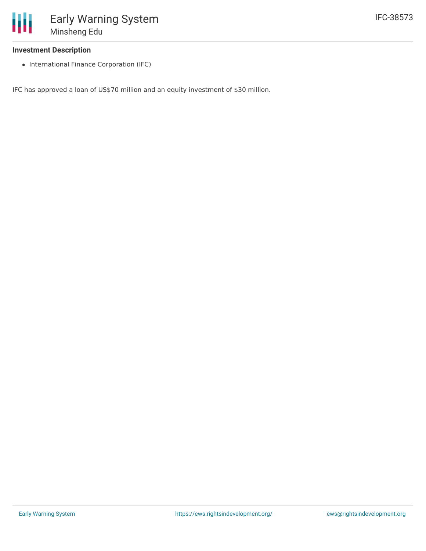#### **Investment Description**

• International Finance Corporation (IFC)

IFC has approved a loan of US\$70 million and an equity investment of \$30 million.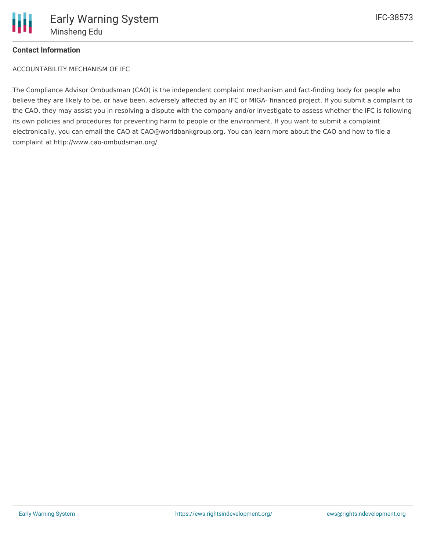

## **Contact Information**

ACCOUNTABILITY MECHANISM OF IFC

The Compliance Advisor Ombudsman (CAO) is the independent complaint mechanism and fact-finding body for people who believe they are likely to be, or have been, adversely affected by an IFC or MIGA- financed project. If you submit a complaint to the CAO, they may assist you in resolving a dispute with the company and/or investigate to assess whether the IFC is following its own policies and procedures for preventing harm to people or the environment. If you want to submit a complaint electronically, you can email the CAO at CAO@worldbankgroup.org. You can learn more about the CAO and how to file a complaint at http://www.cao-ombudsman.org/